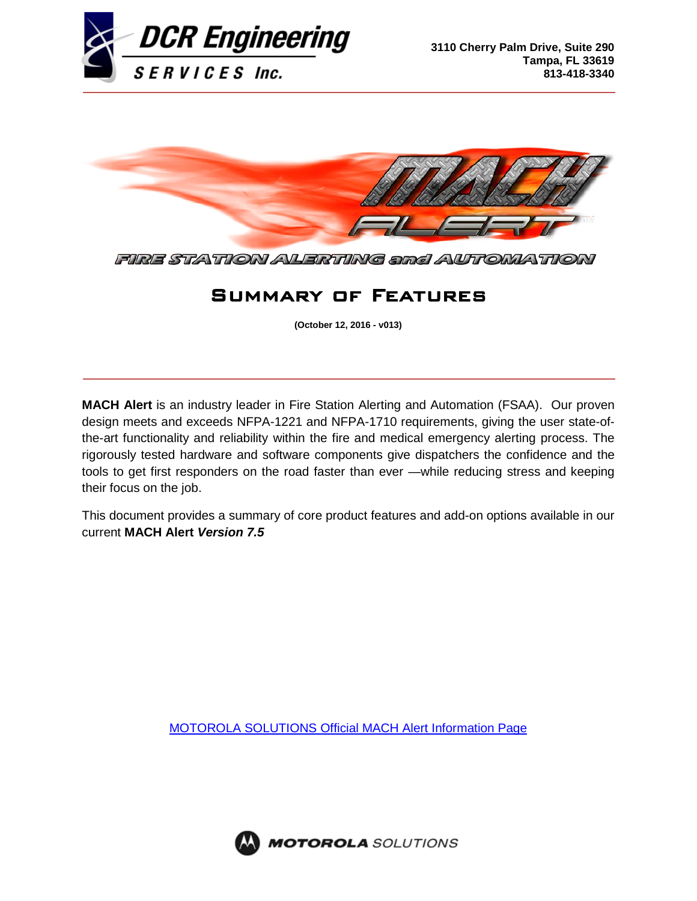



FIRE STATION AVERTING and AUTOMATION

# Summary of Features

**(October 12, 2016 - v013)**

**MACH Alert** is an industry leader in Fire Station Alerting and Automation (FSAA). Our proven design meets and exceeds NFPA-1221 and NFPA-1710 requirements, giving the user state-ofthe-art functionality and reliability within the fire and medical emergency alerting process. The rigorously tested hardware and software components give dispatchers the confidence and the tools to get first responders on the road faster than ever —while reducing stress and keeping their focus on the job.

This document provides a summary of core product features and add-on options available in our current **MACH Alert** *Version 7.5*

[MOTOROLA SOLUTIONS Official MACH Alert Information Page](http://www.motorolasolutions.com/en_us/products/dispatch/fire-station-alerting-systems/machalert.html#tabproductinfo)



**MOTOROLA** SOLUTIONS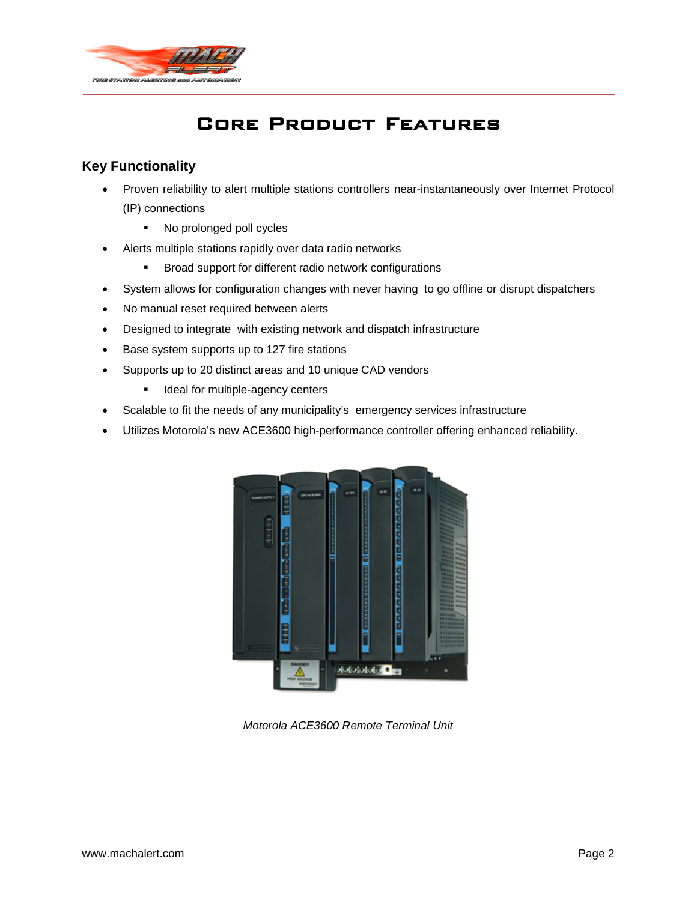

# Core Product Features

# **Key Functionality**

- Proven reliability to alert multiple stations controllers near-instantaneously over Internet Protocol (IP) connections
	- No prolonged poll cycles
- Alerts multiple stations rapidly over data radio networks
	- **Broad support for different radio network configurations**
- System allows for configuration changes with never having to go offline or disrupt dispatchers
- No manual reset required between alerts
- Designed to integrate with existing network and dispatch infrastructure
- Base system supports up to 127 fire stations
- Supports up to 20 distinct areas and 10 unique CAD vendors
	- **IDEAL FORM IDED** Ideal for multiple-agency centers
- Scalable to fit the needs of any municipality's emergency services infrastructure
- Utilizes Motorola's new ACE3600 high-performance controller offering enhanced reliability.



*Motorola ACE3600 Remote Terminal Unit*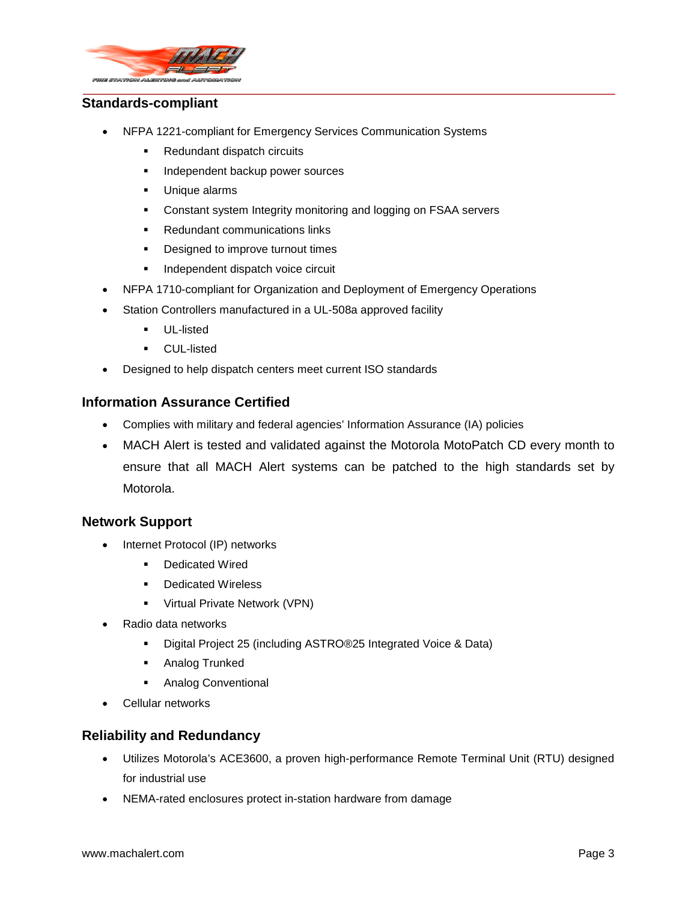

#### **Standards-compliant**

- NFPA 1221-compliant for Emergency Services Communication Systems
	- Redundant dispatch circuits
	- **Independent backup power sources**
	- **Unique alarms**
	- Constant system Integrity monitoring and logging on FSAA servers
	- Redundant communications links
	- Designed to improve turnout times
	- **Independent dispatch voice circuit**
- NFPA 1710-compliant for Organization and Deployment of Emergency Operations
- Station Controllers manufactured in a UL-508a approved facility
	- UL-listed
	- CUL-listed
- Designed to help dispatch centers meet current ISO standards

## **Information Assurance Certified**

- Complies with military and federal agencies' Information Assurance (IA) policies
- MACH Alert is tested and validated against the Motorola MotoPatch CD every month to ensure that all MACH Alert systems can be patched to the high standards set by Motorola.

## **Network Support**

- Internet Protocol (IP) networks
	- Dedicated Wired
	- **-** Dedicated Wireless
	- **•** Virtual Private Network (VPN)
- Radio data networks
	- Digital Project 25 (including ASTRO®25 Integrated Voice & Data)
	- **Analog Trunked**
	- **Analog Conventional**
- Cellular networks

## **Reliability and Redundancy**

- Utilizes Motorola's ACE3600, a proven high-performance Remote Terminal Unit (RTU) designed for industrial use
- NEMA-rated enclosures protect in-station hardware from damage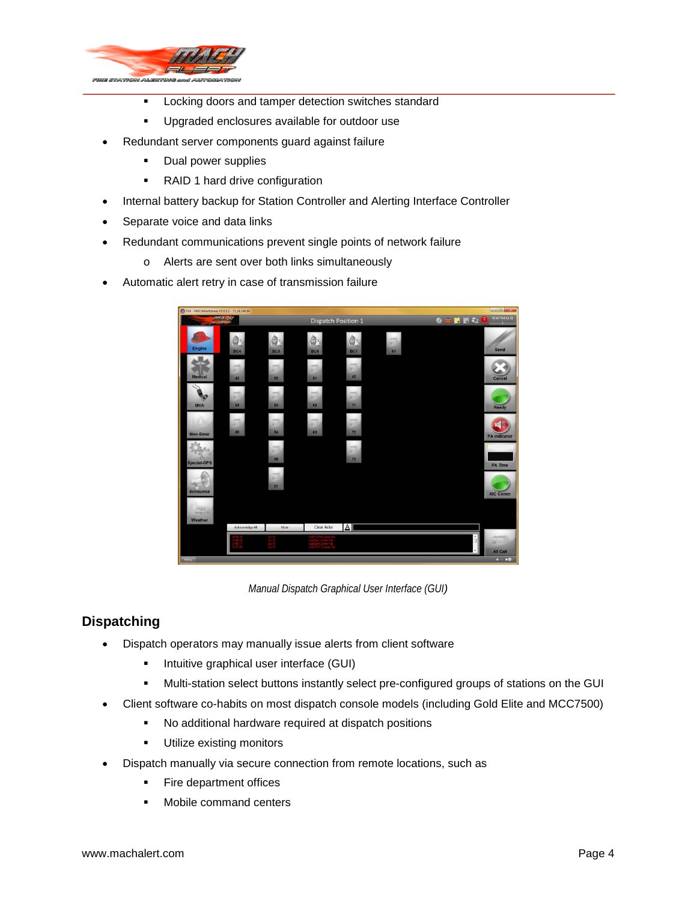

- **Locking doors and tamper detection switches standard**
- **Upgraded enclosures available for outdoor use**
- Redundant server components guard against failure
	- **Dual power supplies**
	- RAID 1 hard drive configuration
- Internal battery backup for Station Controller and Alerting Interface Controller
- Separate voice and data links
- Redundant communications prevent single points of network failure
	- o Alerts are sent over both links simultaneously
- Automatic alert retry in case of transmission failure



*Manual Dispatch Graphical User Interface (GUI)*

# **Dispatching**

- Dispatch operators may manually issue alerts from client software
	- **Intuitive graphical user interface (GUI)**
	- Multi-station select buttons instantly select pre-configured groups of stations on the GUI
- Client software co-habits on most dispatch console models (including Gold Elite and MCC7500)
	- No additional hardware required at dispatch positions
	- **Utilize existing monitors**
- Dispatch manually via secure connection from remote locations, such as
	- Fire department offices
	- Mobile command centers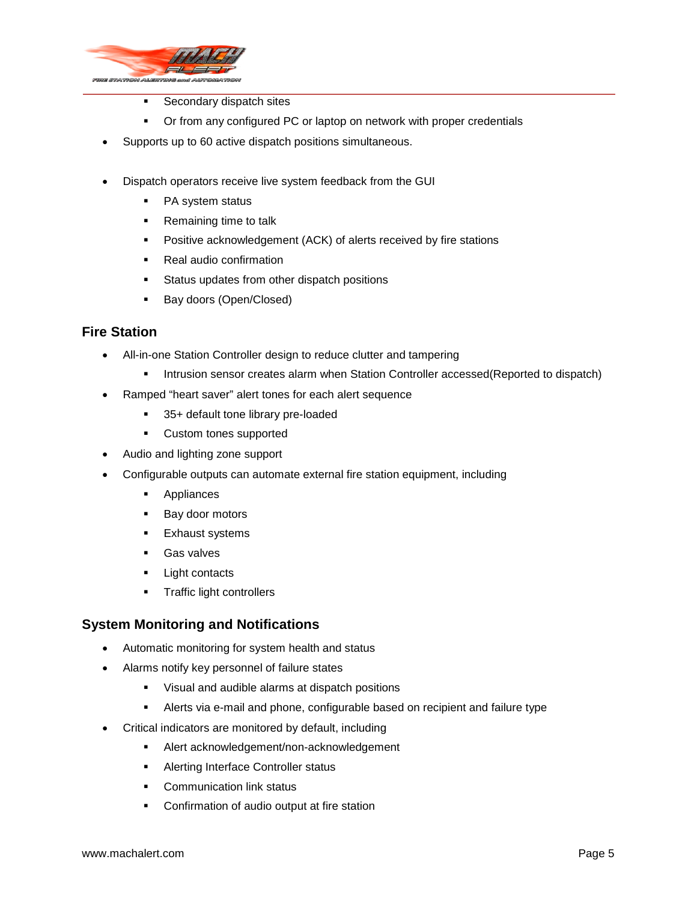

- **Secondary dispatch sites**
- **•** Or from any configured PC or laptop on network with proper credentials
- Supports up to 60 active dispatch positions simultaneous.
- Dispatch operators receive live system feedback from the GUI
	- PA system status
	- **Remaining time to talk**
	- **Positive acknowledgement (ACK) of alerts received by fire stations**
	- Real audio confirmation
	- **Status updates from other dispatch positions**
	- **Bay doors (Open/Closed)**

# **Fire Station**

- All-in-one Station Controller design to reduce clutter and tampering
	- **Intrusion sensor creates alarm when Station Controller accessed (Reported to dispatch)**
- Ramped "heart saver" alert tones for each alert sequence
	- 35+ default tone library pre-loaded
	- **•** Custom tones supported
- Audio and lighting zone support
- Configurable outputs can automate external fire station equipment, including
	- **Appliances**
	- **Bay door motors**
	- **Exhaust systems**
	- Gas valves
	- **Light contacts**
	- **Traffic light controllers**

## **System Monitoring and Notifications**

- Automatic monitoring for system health and status
- Alarms notify key personnel of failure states
	- **Visual and audible alarms at dispatch positions**
	- Alerts via e-mail and phone, configurable based on recipient and failure type
- Critical indicators are monitored by default, including
	- Alert acknowledgement/non-acknowledgement
	- **Alerting Interface Controller status**
	- **Communication link status**
	- Confirmation of audio output at fire station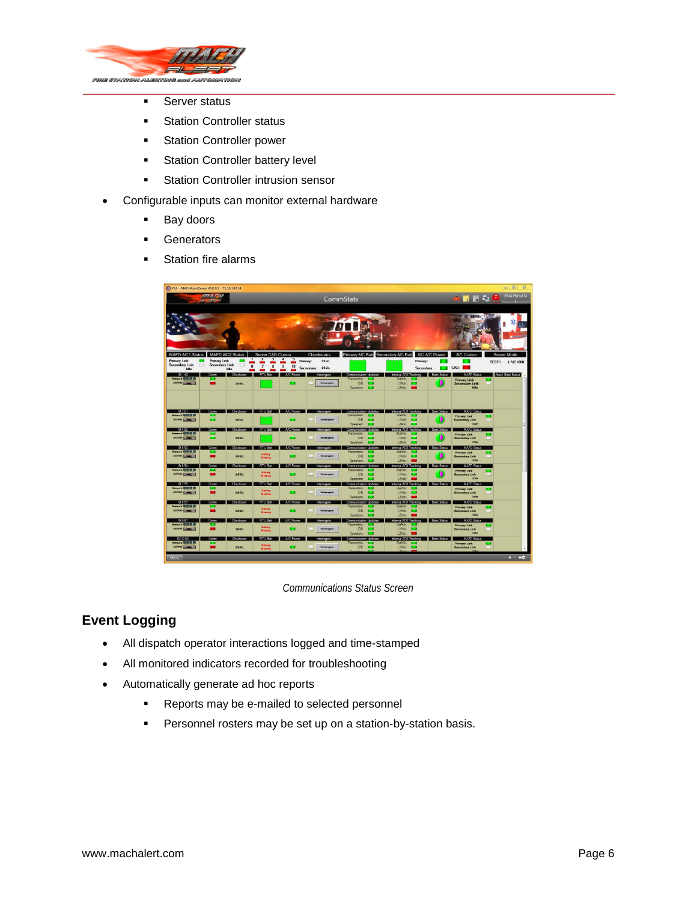

- **Server status**
- **Station Controller status**
- **Station Controller power**
- **Station Controller battery level**
- **Station Controller intrusion sensor**
- Configurable inputs can monitor external hardware
	- **Bay doors**
	- **Generators**
	- **Station fire alarms**

| SR - MACHAlertDemo V5.0.0.1 - 71.16.140.14                       |                                            |                                   |                                                    |                                       |                                |                                                  |                                                         |                      |                                                              |       | $\Box$                   | $\Sigma$ |
|------------------------------------------------------------------|--------------------------------------------|-----------------------------------|----------------------------------------------------|---------------------------------------|--------------------------------|--------------------------------------------------|---------------------------------------------------------|----------------------|--------------------------------------------------------------|-------|--------------------------|----------|
| <b>ATLANTA</b>                                                   |                                            |                                   |                                                    |                                       | CommStats                      |                                                  |                                                         |                      | <b>SHLOO</b>                                                 |       | 03:44 PM Jul 24          |          |
| <b>MAFD AIC1 Status</b><br><b>Primary Link</b><br>Secondary Link | <b>Primary Link</b><br>ロ<br>Secondary Link | <b>MAFD AIC2 Status</b><br>E<br>6 | Server CAD Comm<br>2<br>$\overline{7}$<br>8        | 5<br>Primary:<br>$\overline{9}$<br>10 | Checksums<br>1891              | Primary AIC Battle Secondary AIC Battle          | Primary:                                                | <b>AIC A/C Power</b> | <b>THE BURGE</b><br>AIC Comm                                 | TEST1 | Server Mode<br>1 AIC1600 |          |
| Idle<br>1D.142                                                   | Comm                                       | Idle<br><b>Page</b><br>Checksum   | $\mathbf{r}$<br><b>COL</b><br>RTU Batt   A/C Power | - 1<br><b>COL</b>                     | Secondary: 1001<br>Interrogate | Communication Ubdates                            | Secondary:<br>Internal ACK Tracking Barix Status        |                      | CAD:<br>MAFD Status                                          |       | Area1 Bartx Status       |          |
| Network \$1 00 00 00<br>ASTRO E ME                               |                                            | 1891                              |                                                    |                                       | <b>Interrogate</b>             | Parameters:<br>IDB:<br>Speakers:<br>−            | StaAck:<br>L1Adc<br>−<br>$L2$ Pok                       |                      | <b>Primary Link</b><br><b>Secondary Link</b><br>Idla         |       |                          |          |
| 10:3.51<br>Network <b>GI SI 10 UL</b>                            | Comm                                       | Checksum                          | RTU Batt. A/C Power                                |                                       | <b>Interrogate</b>             | Communication Updates<br>Parameters'             | Internal ACK Tracking Barix Status<br>StaAck: I         |                      | MAFD Status                                                  |       |                          |          |
| <b>ASTRO LONGER</b>                                              | ▬                                          | 1891                              |                                                    |                                       | <b>Interrogate</b>             | <b>IDB:</b><br>Speakers: L.                      | $L1Ac$ $La$<br>12.4                                     |                      | <b>Primary Link</b><br><b>Secondary Link</b><br><b>Inthe</b> |       |                          |          |
| ID.452                                                           | Comm                                       | Checksum                          | <b>RTU Batt</b>                                    | A/C Power                             | Interrogate                    | Communication Updates                            | Internal ACK Tracking                                   | <b>Barix Status</b>  | MAFD Status                                                  |       |                          |          |
| Vetwork <b>BI 85 NH</b><br>ASTRO <b>LONG</b>                     | □                                          | 1891                              |                                                    |                                       | <b>Testure experts</b>         | Parameters:<br>IDB: L<br>Speakers: L.J.          | StaAck:<br>L1Adc L3<br>L2Ack: L                         |                      | <b>Primary Link</b><br><b>Secondary Link</b><br>Idle         |       |                          |          |
| ID:553<br>Network <b>SI IS IS</b>                                | Comm                                       | Checksum                          | <b>RTU Batt</b>                                    | A/C Power                             | <b>Interrogate</b>             | <b>Communication Updates</b><br>Parameters:<br>r | Internal ADK Tracking<br>StaAck:                        | <b>Barix Status</b>  | MAFD Status                                                  |       |                          |          |
| ASTRO <b>LONG</b>                                                | ▬                                          | 1891                              | <b>Bettery</b><br>Mississi                         |                                       | Interrogate                    | IDR: E<br>Speakers: E.                           | $L1Ack$ $L2$<br>L2A <sub>c</sub>                        |                      | <b>Primary Link</b><br><b>Secondary Link</b><br><b>Idio</b>  |       |                          |          |
| 10:6.54<br>Network <b>BBBB</b>                                   | Comm                                       | <b>Checksum</b>                   | <b>RTU Batt</b>                                    | A/C Power                             | Interrogate                    | Communication Updates<br>Parameters:             | Internal ACK Tracking   Bartx Status<br>StaAck: E.      |                      | MAFD Status                                                  |       |                          |          |
| ASTRO <b>Limited</b>                                             | -                                          | 1891                              | <b>Battery</b><br>Mission                          |                                       | <b>Interrogate</b>             | IDB:<br>п<br>Speakers: L.J.                      | L1Ack: L3<br>L2Ack:                                     |                      | <b>Primary Link</b><br><b>Secondary Link</b><br>Idio         |       |                          |          |
| 10:7.55<br>Network 00 00 00 00                                   | Comm                                       | <b>Checksum</b>                   | <b>RTU Bart</b>                                    | A/C Power                             | interrogate                    | Communication Updates<br>Paramatain'             | Internal ACK Tracking Bark Status<br>StaAck L           |                      | MAED Status<br><b>Primary Link</b>                           |       |                          |          |
| ASTRO <b>[ June</b> ]                                            | -                                          | 1891                              | <b>Gettery</b><br>Missing                          | □                                     | <b>Interrogeto</b>             | <b>IDR:</b><br>−<br>Speakers:                    | LiAde: E.B.<br>L2kck                                    |                      | <b>Secondary Link</b><br>Idio                                |       |                          |          |
| ID:857<br>Network <b>BIN III</b>                                 | Comm                                       | Checksum                          | <b>RTU Bart</b>                                    | <b>A/C Power</b>                      | <b>Interrogate</b>             | Communication Updates<br>Parameters:             | Internal ACK Tracking <b>Bank Status</b><br>StaAck: E.Z |                      | MAFD Status                                                  |       |                          |          |
| ASTRO <b>E MARIE</b>                                             |                                            | 1891                              | <b>Bettery</b>                                     |                                       | Interrogate                    | IDB:<br><b>C</b><br>Speakers: E.                 | LTAck: L<br>L2Ack:                                      |                      | <b>Primary Link</b><br>Secondary Link<br>Idle                |       |                          |          |
| 10:9 61<br>Natwork <b>BBBB</b>                                   | Comm                                       | Checkman                          | <b>RTU Bat</b>                                     | <b>A/C Power</b>                      | Interrogate                    | Communication Updates<br>Parameters:<br>.        | Internal ACK Tracking Barix Status<br>StaAck L 3        |                      | MAFD Status                                                  |       |                          |          |
| ASTRO LINE                                                       |                                            | 1891                              | <b>Battery</b>                                     | □                                     | <b>Interrogate</b>             | IDB: E<br>Speakees'<br>-                         | L1Adc: L.3<br>12kck                                     |                      | <b>Primary Link</b><br><b>Secondary Link</b><br>Idio         |       |                          |          |
| ID:10 62<br>Network <b>W W W W</b>                               | Comm                                       | Checksum                          | <b>RTU Batt</b>                                    | A/C Power                             | Interrogate                    | Communication Ubdates<br>Parameters:<br>−        | Internal ACK Tracking Barix Status<br>StaAck: E.Z       |                      | MAFD Status                                                  |       |                          |          |
| ASTRO <b>LEWIS</b>                                               | ▬                                          | 1891                              | <b>Bettery</b>                                     | □                                     | <b>Interrogate</b>             | IDB:                                             | L1Adc L3                                                |                      | <b>Primary Link</b><br><b>Secondary Link</b>                 |       |                          |          |
| Menu                                                             |                                            |                                   |                                                    |                                       |                                |                                                  |                                                         |                      |                                                              |       | $+ -$                    | 40       |

*Communications Status Screen*

# **Event Logging**

- All dispatch operator interactions logged and time-stamped
- All monitored indicators recorded for troubleshooting
- Automatically generate ad hoc reports
	- **Reports may be e-mailed to selected personnel**
	- **Personnel rosters may be set up on a station-by-station basis.**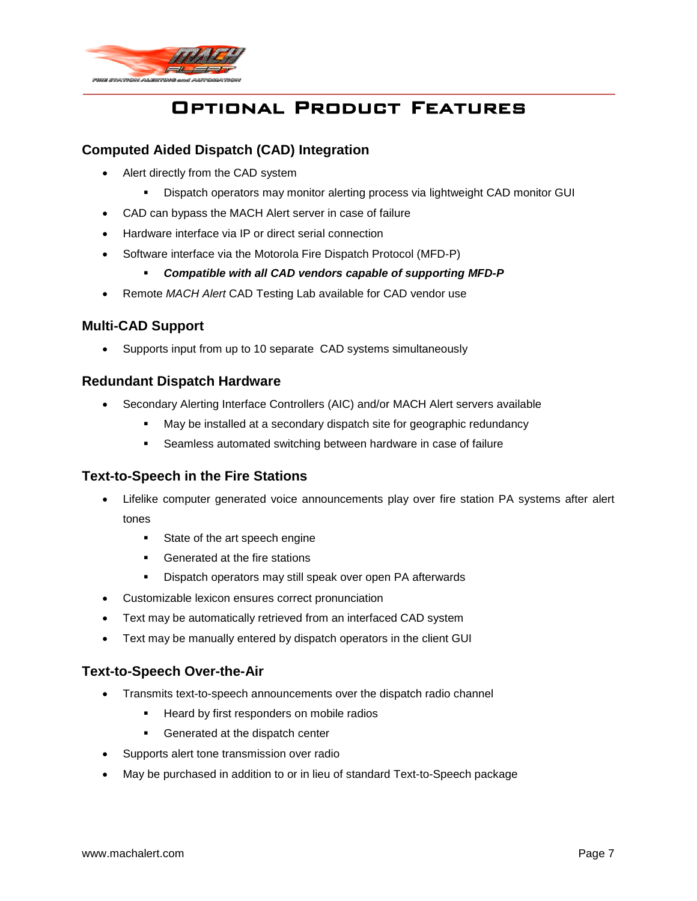

# Optional Product Features

# **Computed Aided Dispatch (CAD) Integration**

- Alert directly from the CAD system
	- Dispatch operators may monitor alerting process via lightweight CAD monitor GUI
- CAD can bypass the MACH Alert server in case of failure
- Hardware interface via IP or direct serial connection
- Software interface via the Motorola Fire Dispatch Protocol (MFD-P)
	- *Compatible with all CAD vendors capable of supporting MFD-P*
- Remote *MACH Alert* CAD Testing Lab available for CAD vendor use

# **Multi-CAD Support**

• Supports input from up to 10 separate CAD systems simultaneously

## **Redundant Dispatch Hardware**

- Secondary Alerting Interface Controllers (AIC) and/or MACH Alert servers available
	- May be installed at a secondary dispatch site for geographic redundancy
	- Seamless automated switching between hardware in case of failure

## **Text-to-Speech in the Fire Stations**

- Lifelike computer generated voice announcements play over fire station PA systems after alert tones
	- **State of the art speech engine**
	- Generated at the fire stations
	- **Dispatch operators may still speak over open PA afterwards**
- Customizable lexicon ensures correct pronunciation
- Text may be automatically retrieved from an interfaced CAD system
- Text may be manually entered by dispatch operators in the client GUI

# **Text-to-Speech Over-the-Air**

- Transmits text-to-speech announcements over the dispatch radio channel
	- **Heard by first responders on mobile radios**
	- **Generated at the dispatch center**
- Supports alert tone transmission over radio
- May be purchased in addition to or in lieu of standard Text-to-Speech package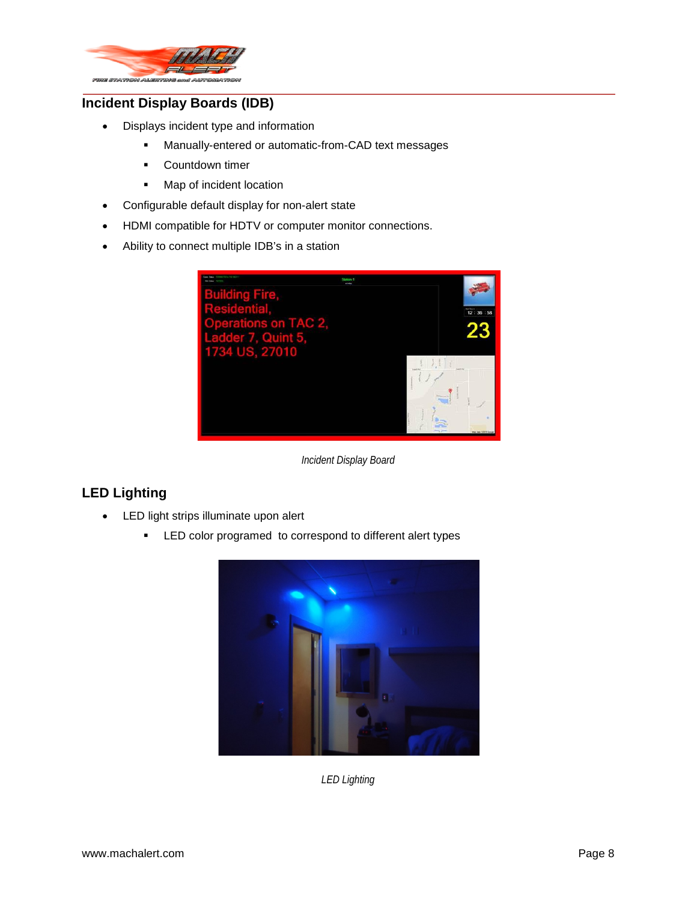

# **Incident Display Boards (IDB)**

- Displays incident type and information
	- Manually-entered or automatic-from-CAD text messages
	- **E** Countdown timer
	- **Map of incident location**
- Configurable default display for non-alert state
- HDMI compatible for HDTV or computer monitor connections.
- Ability to connect multiple IDB's in a station



*Incident Display Board*

# **LED Lighting**

- LED light strips illuminate upon alert
	- **EXECT** Color programed to correspond to different alert types



*LED Lighting*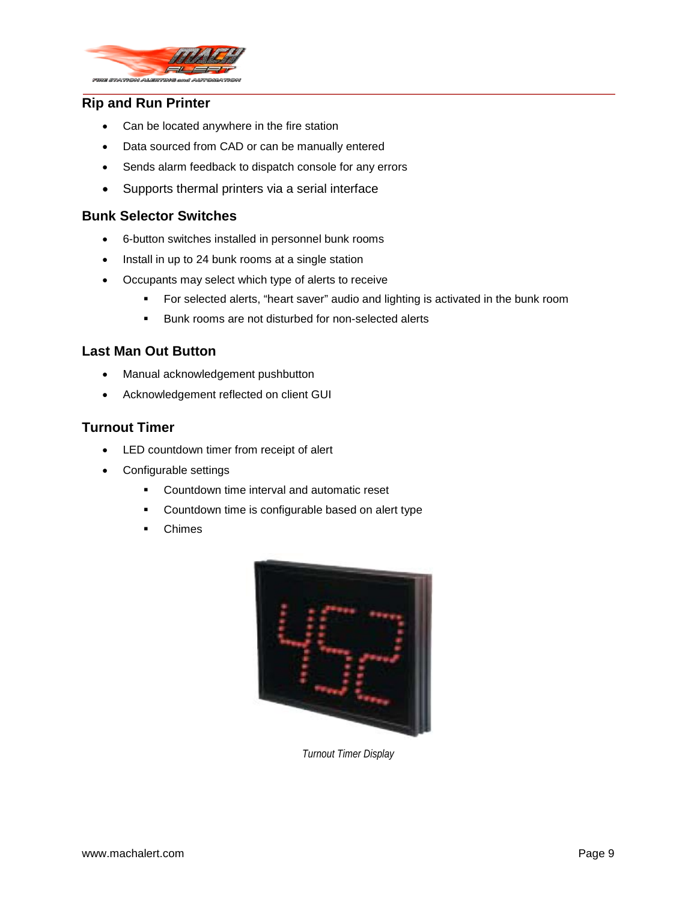

## **Rip and Run Printer**

- Can be located anywhere in the fire station
- Data sourced from CAD or can be manually entered
- Sends alarm feedback to dispatch console for any errors
- Supports thermal printers via a serial interface

### **Bunk Selector Switches**

- 6-button switches installed in personnel bunk rooms
- Install in up to 24 bunk rooms at a single station
- Occupants may select which type of alerts to receive
	- For selected alerts, "heart saver" audio and lighting is activated in the bunk room
	- **Bunk rooms are not disturbed for non-selected alerts**

# **Last Man Out Button**

- Manual acknowledgement pushbutton
- Acknowledgement reflected on client GUI

## **Turnout Timer**

- LED countdown timer from receipt of alert
- Configurable settings
	- **•** Countdown time interval and automatic reset
	- **•** Countdown time is configurable based on alert type
	- Chimes



*Turnout Timer Display*